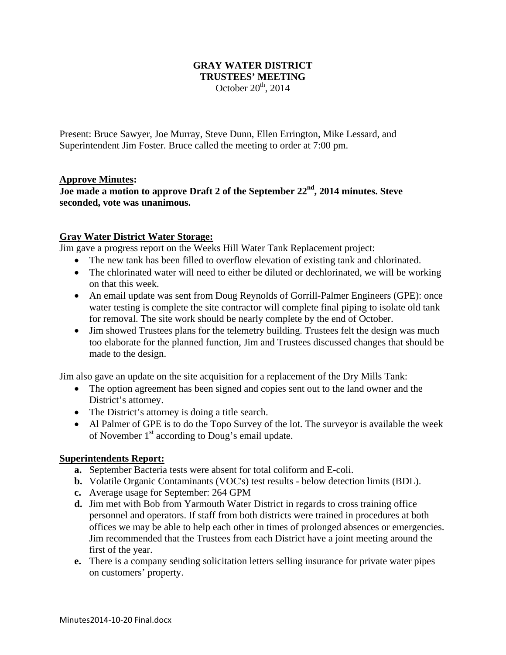## **GRAY WATER DISTRICT TRUSTEES' MEETING**  October  $20<sup>th</sup>$ , 2014

Present: Bruce Sawyer, Joe Murray, Steve Dunn, Ellen Errington, Mike Lessard, and Superintendent Jim Foster. Bruce called the meeting to order at 7:00 pm.

## **Approve Minutes:**

# Joe made a motion to approve Draft 2 of the September 22<sup>nd</sup>, 2014 minutes. Steve **seconded, vote was unanimous.**

## **Gray Water District Water Storage:**

Jim gave a progress report on the Weeks Hill Water Tank Replacement project:

- The new tank has been filled to overflow elevation of existing tank and chlorinated.
- The chlorinated water will need to either be diluted or dechlorinated, we will be working on that this week.
- An email update was sent from Doug Reynolds of Gorrill-Palmer Engineers (GPE): once water testing is complete the site contractor will complete final piping to isolate old tank for removal. The site work should be nearly complete by the end of October.
- Jim showed Trustees plans for the telemetry building. Trustees felt the design was much too elaborate for the planned function, Jim and Trustees discussed changes that should be made to the design.

Jim also gave an update on the site acquisition for a replacement of the Dry Mills Tank:

- The option agreement has been signed and copies sent out to the land owner and the District's attorney.
- The District's attorney is doing a title search.
- Al Palmer of GPE is to do the Topo Survey of the lot. The surveyor is available the week of November  $1<sup>st</sup>$  according to Doug's email update.

#### **Superintendents Report:**

- **a.** September Bacteria tests were absent for total coliform and E-coli.
- **b.** Volatile Organic Contaminants (VOC's) test results below detection limits (BDL).
- **c.** Average usage for September: 264 GPM
- **d.** Jim met with Bob from Yarmouth Water District in regards to cross training office personnel and operators. If staff from both districts were trained in procedures at both offices we may be able to help each other in times of prolonged absences or emergencies. Jim recommended that the Trustees from each District have a joint meeting around the first of the year.
- **e.** There is a company sending solicitation letters selling insurance for private water pipes on customers' property.